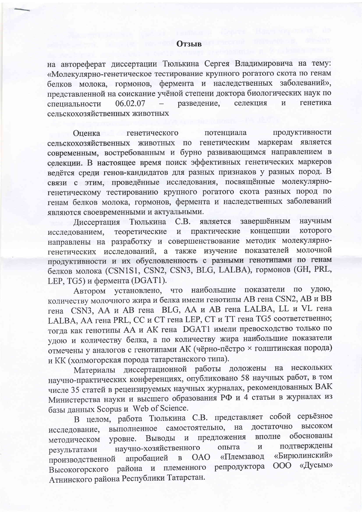## **Отзыв**

на автореферат диссертации Тюлькина Сергея Владимировича на тему: «Молекулярно-генетическое тестирование крупного рогатого скота по генам белков молока, гормонов, фермента и наследственных заболеваний», представленной на соискание учёной степени доктора биологических наук по разведение, селекция генетика специальности 06.02.07  $\overline{M}$ сельскохозяйственных животных

Оценка генетического продуктивности потенциала маркерам является сельскохозяйственных животных по генетическим современным, востребованным и бурно развивающимся направлением в селекции. В настоящее время поиск эффективных генетических маркеров ведётся среди генов-кандидатов для разных признаков у разных пород. В связи с этим, проведённые исследования, посвящённые молекулярногенетическому тестированию крупного рогатого скота разных пород по генам белков молока, гормонов, фермента и наследственных заболеваний являются своевременными и актуальными.

завершённым научным Диссертация Тюлькина  $C.B.$ является которого теоретические и практические концепции исследованием, направлены на разработку и совершенствование методик молекулярногенетических исследований, а также изучение показателей молочной продуктивности и их обусловленность с разными генотипами по генам белков молока (CSN1S1, CSN2, CSN3, BLG, LALBA), гормонов (GH, PRL, LEP, TG5) и фермента (DGAT1).

Автором установлено, что наибольшие показатели по удою, количеству молочного жира и белка имели генотипы AB гена CSN2, AB и BB гена CSN3, АА и AB гена BLG, АА и AB гена LALBA, LL и VL гена LALBA, АА гена PRL, СС и СТ гена LEP, СТ и ТТ гена TG5 соответственно; тогда как генотипы АА и АК гена DGAT1 имели превосходство только по удою и количеству белка, а по количеству жира наибольшие показатели отмечены у аналогов с генотипами АК (чёрно-пёстро × голштинская порода) и КК (холмогорская порода татарстанского типа).

Материалы диссертационной работы доложены на нескольких научно-практических конференциях, опубликовано 58 научных работ, в том числе 35 статей в рецензируемых научных журналах, рекомендованных ВАК Министерства науки и высшего образования РФ и 4 статьи в журналах из базы данных Scopus и Web of Science.

В целом, работа Тюлькина С.В. представляет собой серьёзное высоком достаточно самостоятельно, на выполненное исследование, предложения вполне обоснованы Выводы уровне. методическом научно-хозяйственного подтверждены опыта  $\mathbf H$ результатами «Бирюлинский» апробацией **OAO** «Племзавод  $\mathbf{B}$ производственной Высокогорского района и племенного репродуктора ООО «Дусым» Атнинского района Республики Татарстан.